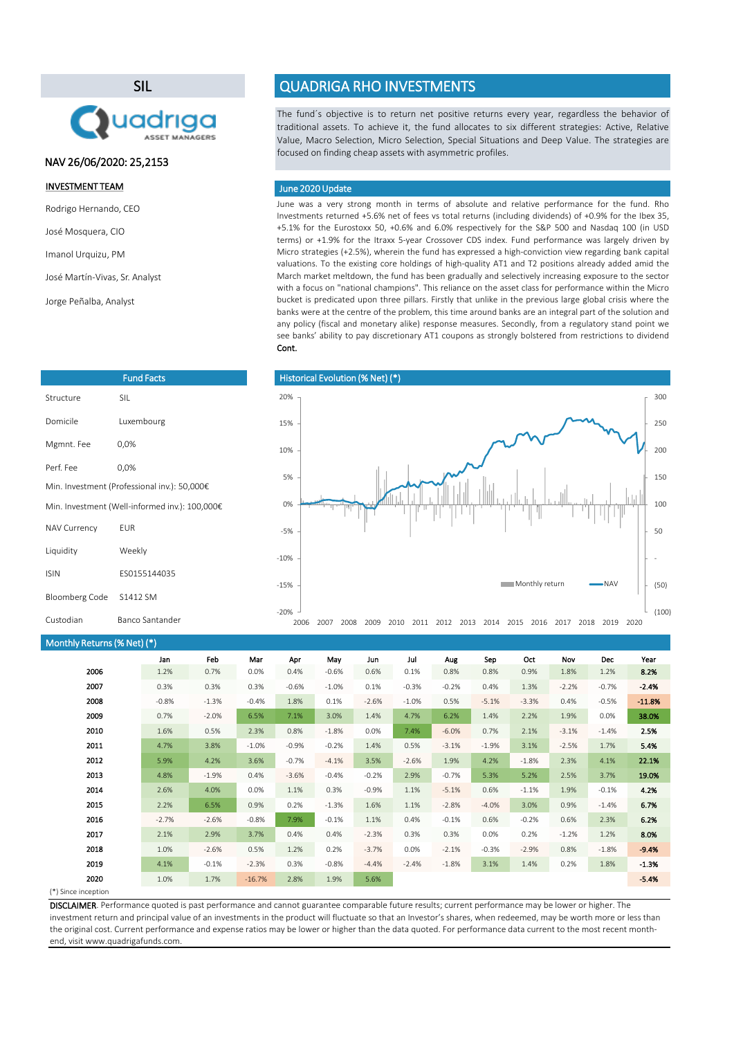(\*) Since inception

June was a very strong month in terms of absolute and relative performance for the fund. Rho Investments returned +5.6% net of fees vs total returns (including dividends) of +0.9% for the Ibex 35, +5.1% for the Eurostoxx 50, +0.6% and 6.0% respectively for the S&P 500 and Nasdaq 100 (in USD terms) or +1.9% for the Itraxx 5-year Crossover CDS index. Fund performance was largely driven by Micro strategies (+2.5%), wherein the fund has expressed a high-conviction view regarding bank capital valuations. To the existing core holdings of high-quality AT1 and T2 positions already added amid the March market meltdown, the fund has been gradually and selectively increasing exposure to the sector with a focus on "national champions". This reliance on the asset class for performance within the Micro bucket is predicated upon three pillars. Firstly that unlike in the previous large global crisis where the banks were at the centre of the problem, this time around banks are an integral part of the solution and any policy (fiscal and monetary alike) response measures. Secondly, from a regulatory stand point we see banks' ability to pay discretionary AT1 coupons as strongly bolstered from restrictions to dividend Cont.

| Monthly Returns (% Net) (*) |         |         |          |         |          |         |          |         |         |         |         |         |          |
|-----------------------------|---------|---------|----------|---------|----------|---------|----------|---------|---------|---------|---------|---------|----------|
|                             | Jan     | Feb     | Mar      | Apr     | May      | Jun     | Jul      | Aug     | Sep     | Oct     | Nov     | Dec     | Year     |
| 2006                        | 1.2%    | 0.7%    | 0.0%     | 0.4%    | $-0.6%$  | 0.6%    | 0.1%     | 0.8%    | 0.8%    | 0.9%    | 1.8%    | 1.2%    | 8.2%     |
| 2007                        | 0.3%    | 0.3%    | 0.3%     | $-0.6%$ | $-1.0\%$ | 0.1%    | $-0.3%$  | $-0.2%$ | 0.4%    | 1.3%    | $-2.2%$ | $-0.7%$ | $-2.4%$  |
| 2008                        | $-0.8%$ | $-1.3%$ | $-0.4%$  | 1.8%    | 0.1%     | $-2.6%$ | $-1.0\%$ | 0.5%    | $-5.1%$ | $-3.3%$ | 0.4%    | $-0.5%$ | $-11.8%$ |
| 2009                        | 0.7%    | $-2.0%$ | 6.5%     | 7.1%    | 3.0%     | 1.4%    | 4.7%     | 6.2%    | 1.4%    | 2.2%    | 1.9%    | 0.0%    | 38.0%    |
| 2010                        | 1.6%    | 0.5%    | 2.3%     | 0.8%    | $-1.8%$  | 0.0%    | 7.4%     | $-6.0%$ | 0.7%    | 2.1%    | $-3.1%$ | $-1.4%$ | 2.5%     |
| 2011                        | 4.7%    | 3.8%    | $-1.0%$  | $-0.9%$ | $-0.2%$  | 1.4%    | 0.5%     | $-3.1%$ | $-1.9%$ | 3.1%    | $-2.5%$ | 1.7%    | 5.4%     |
| 2012                        | 5.9%    | 4.2%    | 3.6%     | $-0.7%$ | $-4.1%$  | 3.5%    | $-2.6%$  | 1.9%    | 4.2%    | $-1.8%$ | 2.3%    | 4.1%    | 22.1%    |
| 2013                        | 4.8%    | $-1.9%$ | 0.4%     | $-3.6%$ | $-0.4%$  | $-0.2%$ | 2.9%     | $-0.7%$ | 5.3%    | 5.2%    | 2.5%    | 3.7%    | 19.0%    |
| 2014                        | 2.6%    | 4.0%    | 0.0%     | 1.1%    | 0.3%     | $-0.9%$ | 1.1%     | $-5.1%$ | 0.6%    | $-1.1%$ | 1.9%    | $-0.1%$ | 4.2%     |
| 2015                        | 2.2%    | 6.5%    | 0.9%     | 0.2%    | $-1.3%$  | 1.6%    | 1.1%     | $-2.8%$ | $-4.0%$ | 3.0%    | 0.9%    | $-1.4%$ | 6.7%     |
| 2016                        | $-2.7%$ | $-2.6%$ | $-0.8%$  | 7.9%    | $-0.1%$  | 1.1%    | 0.4%     | $-0.1%$ | 0.6%    | $-0.2%$ | 0.6%    | 2.3%    | 6.2%     |
| 2017                        | 2.1%    | 2.9%    | 3.7%     | 0.4%    | 0.4%     | $-2.3%$ | 0.3%     | 0.3%    | 0.0%    | 0.2%    | $-1.2%$ | 1.2%    | 8.0%     |
| 2018                        | 1.0%    | $-2.6%$ | 0.5%     | 1.2%    | 0.2%     | $-3.7%$ | $0.0\%$  | $-2.1%$ | $-0.3%$ | $-2.9%$ | 0.8%    | $-1.8%$ | $-9.4%$  |
| 2019                        | 4.1%    | $-0.1%$ | $-2.3%$  | 0.3%    | $-0.8%$  | $-4.4%$ | $-2.4%$  | $-1.8%$ | 3.1%    | 1.4%    | 0.2%    | 1.8%    | $-1.3%$  |
| 2020                        | 1.0%    | 1.7%    | $-16.7%$ | 2.8%    | 1.9%     | 5.6%    |          |         |         |         |         |         | $-5.4%$  |
| $\sqrt{2}$                  |         |         |          |         |          |         |          |         |         |         |         |         |          |

The fund´s objective is to return net positive returns every year, regardless the behavior of traditional assets. To achieve it, the fund allocates to six different strategies: Active, Relative Value, Macro Selection, Micro Selection, Special Situations and Deep Value. The strategies are focused on finding cheap assets with asymmetric profiles.

DISCLAIMER. Performance quoted is past performance and cannot guarantee comparable future results; current performance may be lower or higher. The investment return and principal value of an investments in the product will fluctuate so that an Investor's shares, when redeemed, may be worth more or less than the original cost. Current performance and expense ratios may be lower or higher than the data quoted. For performance data current to the most recent monthend, visit www.quadrigafunds.com.

### INVESTMENT TEAM

Rodrigo Hernando, CEO

José Mosquera, CIO

Imanol Urquizu, PM

José Martín-Vivas, Sr. Analyst

Jorge Peñalba, Analyst

# SIL



# QUADRIGA RHO INVESTMENTS

| <b>Fund Facts</b>                              |              |  |  |  |  |
|------------------------------------------------|--------------|--|--|--|--|
| Structure                                      | <b>SIL</b>   |  |  |  |  |
| Domicile                                       | Luxembourg   |  |  |  |  |
| Mgmnt. Fee                                     | 0,0%         |  |  |  |  |
| Perf. Fee                                      | 0,0%         |  |  |  |  |
| Min. Investment (Professional inv.): 50,000€   |              |  |  |  |  |
| Min. Investment (Well-informed inv.): 100,000€ |              |  |  |  |  |
| <b>NAV Currency</b>                            | <b>EUR</b>   |  |  |  |  |
| Liquidity                                      | Weekly       |  |  |  |  |
| <b>ISIN</b>                                    | ES0155144035 |  |  |  |  |
| <b>Bloomberg Code</b>                          | S1412 SM     |  |  |  |  |

Custodian Banco Santander

### June 2020 Update



# NAV 26/06/2020: 25,2153

(100)

-20%

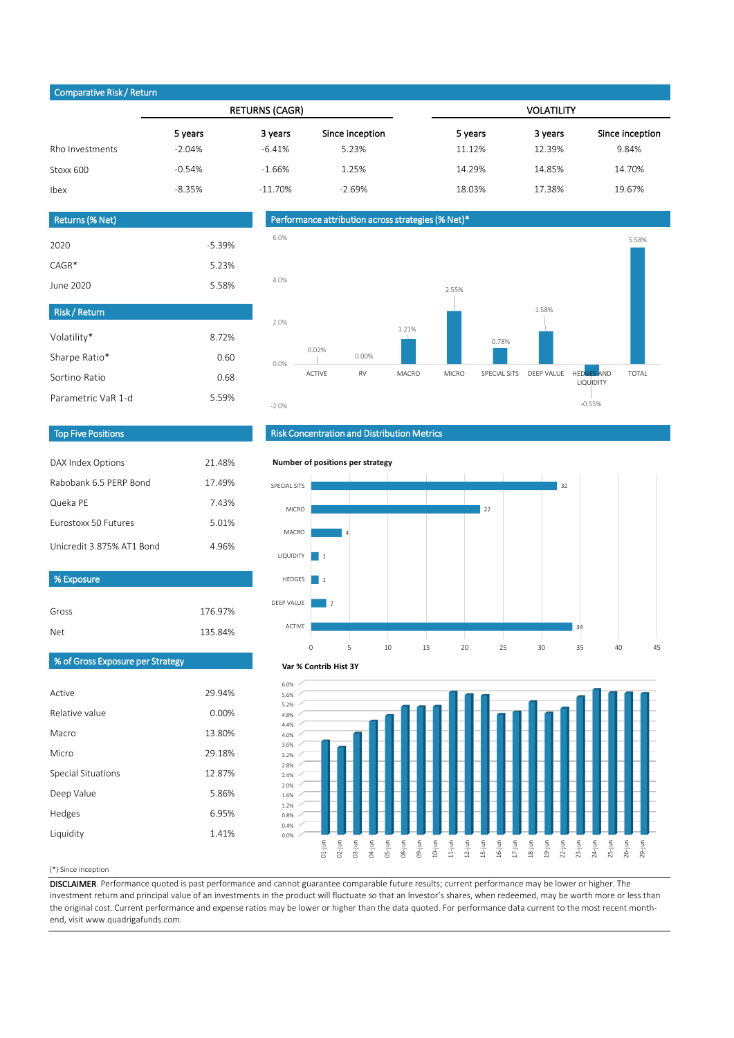### (\*) Since inception

DISCLAIMER. Performance quoted is past performance and cannot guarantee comparable future results; current performance may be lower or higher. The investment return and principal value of an investments in the product will fluctuate so that an Investor's shares, when redeemed, may be worth more or less than the original cost. Current performance and expense ratios may be lower or higher than the data quoted. For performance data current to the most recent monthend, visit www.quadrigafunds.com.

| DAX Index Options           | 21.48% |
|-----------------------------|--------|
| Rabobank 6.5 PERP Bond      | 17.49% |
| Queka PE                    | 7.43%  |
| <b>Furostoxx 50 Futures</b> | 5.01%  |
| Unicredit 3.875% AT1 Bond   | 4.96%  |

| $\sim$ post state of the respective state $\sim$ |           |                       |                 |                   |         |                 |  |  |
|--------------------------------------------------|-----------|-----------------------|-----------------|-------------------|---------|-----------------|--|--|
|                                                  |           | <b>RETURNS (CAGR)</b> |                 | <b>VOLATILITY</b> |         |                 |  |  |
|                                                  | 5 years   | 3 years               | Since inception | 5 years           | 3 years | Since inception |  |  |
| Rho Investments                                  | $-2.04\%$ | $-6.41\%$             | 5.23%           | 11.12%            | 12.39%  | 9.84%           |  |  |
| Stoxx 600                                        | $-0.54%$  | $-1.66%$              | 1.25%           | 14.29%            | 14.85%  | 14.70%          |  |  |
| Ibex                                             | $-8.35%$  | $-11.70\%$            | $-2.69%$        | 18.03%            | 17.38%  | 19.67%          |  |  |

| Gross<br><b>Net</b>              | 176.97%<br>135.84% | <b>DEEP VAL</b><br>ACT |
|----------------------------------|--------------------|------------------------|
| % of Gross Exposure per Strategy |                    | Var                    |
| Active                           | 29.94%             | 6.0%<br>5.6%           |
| Relative value                   | 0.00%              | 5.2%<br>4.8%           |
| Macro                            | 13.80%             | 4.4%<br>4.0%           |
| Micro                            | 29.18%             | 3.6%<br>3.2%           |
| <b>Special Situations</b>        | 12.87%             | 2.8%<br>2.4%           |
| Deep Value                       | 5.86%              | 2.0%<br>1.6%           |
| Hedges                           | 6.95%              | 1.2%<br>0.8%           |
| Liquidity                        | 1.41%              | 0.4%<br>0.0%           |

| <b>Risk/Return</b> |       |
|--------------------|-------|
| Volatility*        | 8.72% |
| Sharpe Ratio*      | 0.60  |
| Sortino Ratio      | 0.68  |
| Parametric VaR 1-d | 5.59% |

| Returns (% Net) |          |
|-----------------|----------|
| 2020            | $-5.39%$ |
| $CAGR*$         | 5.23%    |
| June 2020       | 5.58%    |

# Top Five Positions

# Risk Concentration and Distribution Metrics

# Performance attribution across strategies (% Net)\*

### Comparative Risk / Return

% Exposure





#### **Number of positions per strategy**



#### **Var % Contrib Hist 3Y**

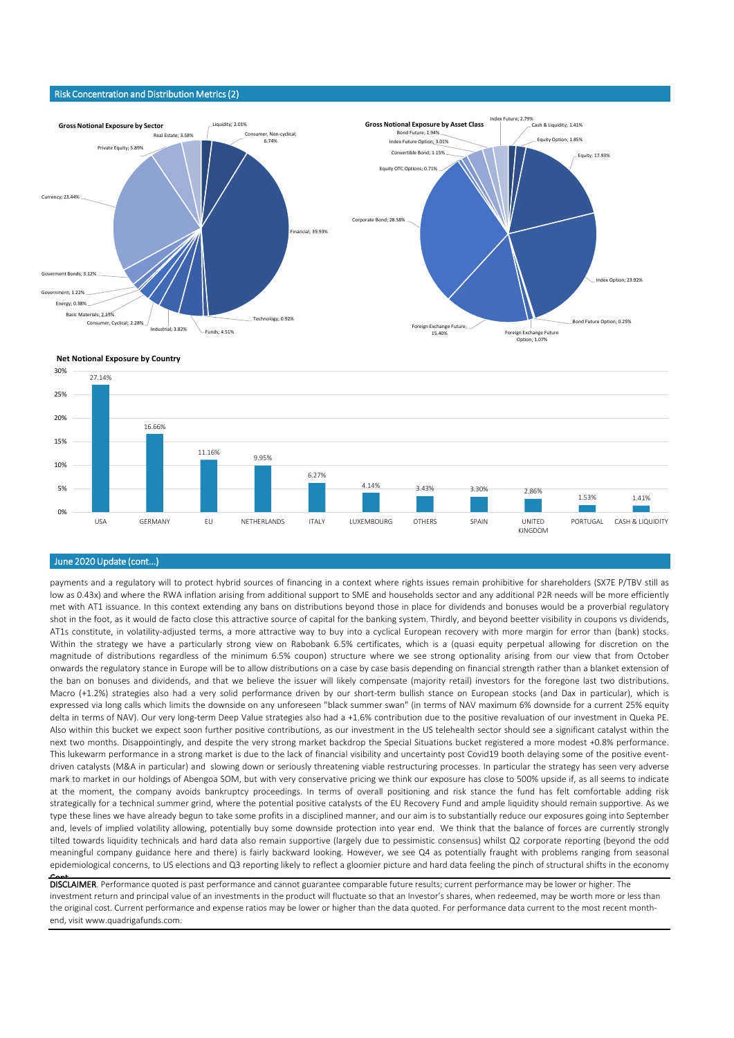payments and a regulatory will to protect hybrid sources of financing in a context where rights issues remain prohibitive for shareholders (SX7E P/TBV still as low as 0.43x) and where the RWA inflation arising from additional support to SME and households sector and any additional P2R needs will be more efficiently met with AT1 issuance. In this context extending any bans on distributions beyond those in place for dividends and bonuses would be a proverbial regulatory shot in the foot, as it would de facto close this attractive source of capital for the banking system. Thirdly, and beyond beetter visibility in coupons vs dividends, AT1s constitute, in volatility-adjusted terms, a more attractive way to buy into a cyclical European recovery with more margin for error than (bank) stocks. Within the strategy we have a particularly strong view on Rabobank 6.5% certificates, which is a (quasi equity perpetual allowing for discretion on the magnitude of distributions regardless of the minimum 6.5% coupon) structure where we see strong optionality arising from our view that from October onwards the regulatory stance in Europe will be to allow distributions on a case by case basis depending on financial strength rather than a blanket extension of the ban on bonuses and dividends, and that we believe the issuer will likely compensate (majority retail) investors for the foregone last two distributions. Macro (+1.2%) strategies also had a very solid performance driven by our short-term bullish stance on European stocks (and Dax in particular), which is expressed via long calls which limits the downside on any unforeseen "black summer swan" (in terms of NAV maximum 6% downside for a current 25% equity delta in terms of NAV). Our very long-term Deep Value strategies also had a +1.6% contribution due to the positive revaluation of our investment in Queka PE. Also within this bucket we expect soon further positive contributions, as our investment in the US telehealth sector should see a significant catalyst within the next two months. Disappointingly, and despite the very strong market backdrop the Special Situations bucket registered a more modest +0.8% performance. This lukewarm performance in a strong market is due to the lack of financial visibility and uncertainty post Covid19 booth delaying some of the positive eventdriven catalysts (M&A in particular) and slowing down or seriously threatening viable restructuring processes. In particular the strategy has seen very adverse mark to market in our holdings of Abengoa SOM, but with very conservative pricing we think our exposure has close to 500% upside if, as all seems to indicate at the moment, the company avoids bankruptcy proceedings. In terms of overall positioning and risk stance the fund has felt comfortable adding risk strategically for a technical summer grind, where the potential positive catalysts of the EU Recovery Fund and ample liquidity should remain supportive. As we type these lines we have already begun to take some profits in a disciplined manner, and our aim is to substantially reduce our exposures going into September and, levels of implied volatility allowing, potentially buy some downside protection into year end. We think that the balance of forces are currently strongly tilted towards liquidity technicals and hard data also remain supportive (largely due to pessimistic consensus) whilst Q2 corporate reporting (beyond the odd meaningful company guidance here and there) is fairly backward looking. However, we see Q4 as potentially fraught with problems ranging from seasonal epidemiological concerns, to US elections and Q3 reporting likely to reflect a gloomier picture and hard data feeling the pinch of structural shifts in the economy Cont.

DISCLAIMER. Performance quoted is past performance and cannot guarantee comparable future results; current performance may be lower or higher. The investment return and principal value of an investments in the product will fluctuate so that an Investor's shares, when redeemed, may be worth more or less than the original cost. Current performance and expense ratios may be lower or higher than the data quoted. For performance data current to the most recent monthend, visit www.quadrigafunds.com.

Risk Concentration and Distribution Metrics (2)

### June 2020 Update (cont...)



#### **Net Notional Exposure by Country**